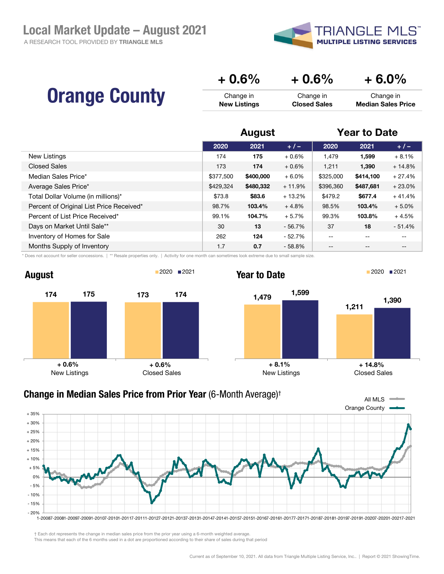A RESEARCH TOOL PROVIDED BY TRIANGLE MLS



|                      | $+0.6%$             | $+0.6\%$            | $+6.0\%$                  |
|----------------------|---------------------|---------------------|---------------------------|
| <b>Orange County</b> | Change in           | Change in           | Change in                 |
|                      | <b>New Listings</b> | <b>Closed Sales</b> | <b>Median Sales Price</b> |

|                                          | <b>August</b> |           |          | <b>Year to Date</b> |                   |                   |
|------------------------------------------|---------------|-----------|----------|---------------------|-------------------|-------------------|
|                                          | 2020          | 2021      | $+/-$    | 2020                | 2021              | $+/-$             |
| New Listings                             | 174           | 175       | $+0.6%$  | 1,479               | 1,599             | $+8.1%$           |
| <b>Closed Sales</b>                      | 173           | 174       | $+0.6%$  | 1.211               | 1,390             | $+14.8%$          |
| Median Sales Price*                      | \$377,500     | \$400,000 | $+6.0%$  | \$325,000           | \$414,100         | $+27.4%$          |
| Average Sales Price*                     | \$429,324     | \$480,332 | $+11.9%$ | \$396,360           | \$487,681         | $+23.0%$          |
| Total Dollar Volume (in millions)*       | \$73.8        | \$83.6    | $+13.2%$ | \$479.2             | \$677.4           | $+41.4%$          |
| Percent of Original List Price Received* | 98.7%         | 103.4%    | $+4.8%$  | 98.5%               | 103.4%            | $+5.0%$           |
| Percent of List Price Received*          | 99.1%         | 104.7%    | $+5.7%$  | 99.3%               | 103.8%            | $+4.5%$           |
| Days on Market Until Sale**              | 30            | 13        | $-56.7%$ | 37                  | 18                | $-51.4%$          |
| Inventory of Homes for Sale              | 262           | 124       | $-52.7%$ | $- -$               | $- -$             | --                |
| Months Supply of Inventory               | 1.7           | 0.7       | $-58.8%$ | $- -$               | $\qquad \qquad -$ | $\qquad \qquad -$ |

\* Does not account for seller concessions. | \*\* Resale properties only. | Activity for one month can sometimes look extreme due to small sample size.





**Year to Date** 2021 **2021** 





† Each dot represents the change in median sales price from the prior year using a 6-month weighted average.

This means that each of the 6 months used in a dot are proportioned according to their share of sales during that period